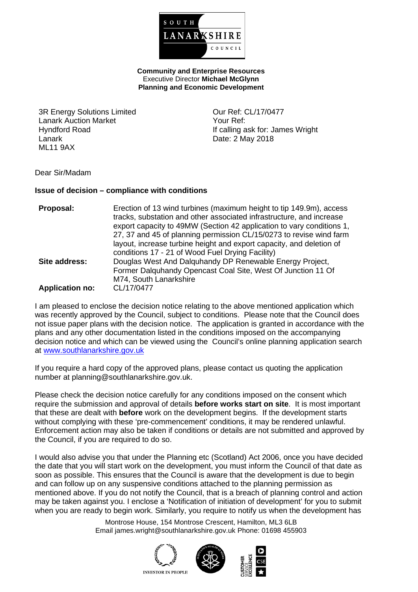

**Community and Enterprise Resources** Executive Director **Michael McGlynn Planning and Economic Development**

3R Energy Solutions Limited Lanark Auction Market Hyndford Road Lanark ML11 9AX

Our Ref: CL/17/0477 Your Ref: If calling ask for: James Wright Date: 2 May 2018

#### Dear Sir/Madam

#### **Issue of decision – compliance with conditions**

| Proposal:              | Erection of 13 wind turbines (maximum height to tip 149.9m), access<br>tracks, substation and other associated infrastructure, and increase<br>export capacity to 49MW (Section 42 application to vary conditions 1,<br>27, 37 and 45 of planning permission CL/15/0273 to revise wind farm<br>layout, increase turbine height and export capacity, and deletion of<br>conditions 17 - 21 of Wood Fuel Drying Facility) |
|------------------------|-------------------------------------------------------------------------------------------------------------------------------------------------------------------------------------------------------------------------------------------------------------------------------------------------------------------------------------------------------------------------------------------------------------------------|
| Site address:          | Douglas West And Dalquhandy DP Renewable Energy Project,<br>Former Dalquhandy Opencast Coal Site, West Of Junction 11 Of<br>M74, South Lanarkshire                                                                                                                                                                                                                                                                      |
| <b>Application no:</b> | CL/17/0477                                                                                                                                                                                                                                                                                                                                                                                                              |

I am pleased to enclose the decision notice relating to the above mentioned application which was recently approved by the Council, subject to conditions. Please note that the Council does not issue paper plans with the decision notice. The application is granted in accordance with the plans and any other documentation listed in the conditions imposed on the accompanying decision notice and which can be viewed using the Council's online planning application search at [www.southlanarkshire.gov.uk](http://www.southlanarkshire.gov.uk/)

If you require a hard copy of the approved plans, please contact us quoting the application number at planning@southlanarkshire.gov.uk.

Please check the decision notice carefully for any conditions imposed on the consent which require the submission and approval of details **before works start on site**. It is most important that these are dealt with **before** work on the development begins. If the development starts without complying with these 'pre-commencement' conditions, it may be rendered unlawful. Enforcement action may also be taken if conditions or details are not submitted and approved by the Council, if you are required to do so.

I would also advise you that under the Planning etc (Scotland) Act 2006, once you have decided the date that you will start work on the development, you must inform the Council of that date as soon as possible. This ensures that the Council is aware that the development is due to begin and can follow up on any suspensive conditions attached to the planning permission as mentioned above. If you do not notify the Council, that is a breach of planning control and action may be taken against you. I enclose a 'Notification of initiation of development' for you to submit when you are ready to begin work. Similarly, you require to notify us when the development has

> Montrose House, 154 Montrose Crescent, Hamilton, ML3 6LB Email james.wright@southlanarkshire.gov.uk Phone: 01698 455903







**INVESTOR IN PEOPLE**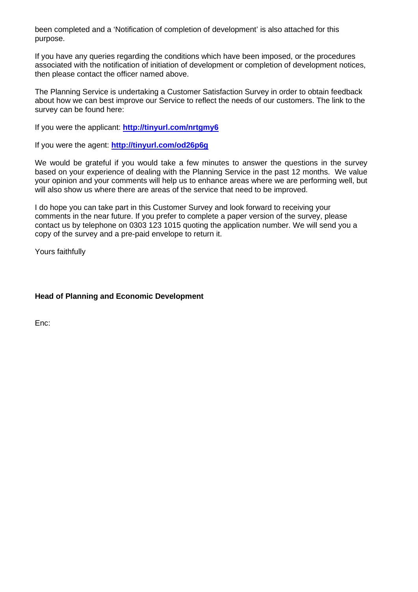been completed and a 'Notification of completion of development' is also attached for this purpose.

If you have any queries regarding the conditions which have been imposed, or the procedures associated with the notification of initiation of development or completion of development notices, then please contact the officer named above.

The Planning Service is undertaking a Customer Satisfaction Survey in order to obtain feedback about how we can best improve our Service to reflect the needs of our customers. The link to the survey can be found here:

If you were the applicant: **<http://tinyurl.com/nrtgmy6>**

If you were the agent: **<http://tinyurl.com/od26p6g>**

We would be grateful if you would take a few minutes to answer the questions in the survey based on your experience of dealing with the Planning Service in the past 12 months. We value your opinion and your comments will help us to enhance areas where we are performing well, but will also show us where there are areas of the service that need to be improved.

I do hope you can take part in this Customer Survey and look forward to receiving your comments in the near future. If you prefer to complete a paper version of the survey, please contact us by telephone on 0303 123 1015 quoting the application number. We will send you a copy of the survey and a pre-paid envelope to return it.

Yours faithfully

## **Head of Planning and Economic Development**

Enc: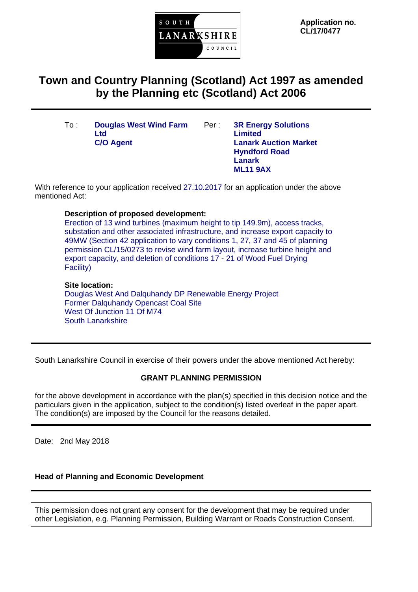

**Application no. CL/17/0477**

# **Town and Country Planning (Scotland) Act 1997 as amended by the Planning etc (Scotland) Act 2006**

- To : **Douglas West Wind Farm**  Ltd<br>**C/O Agent**
- Per : **3R Energy Solutions Limited Lanark Auction Market Hyndford Road Lanark ML11 9AX**

With reference to your application received 27.10.2017 for an application under the above mentioned Act:

## **Description of proposed development:**

Erection of 13 wind turbines (maximum height to tip 149.9m), access tracks, substation and other associated infrastructure, and increase export capacity to 49MW (Section 42 application to vary conditions 1, 27, 37 and 45 of planning permission CL/15/0273 to revise wind farm layout, increase turbine height and export capacity, and deletion of conditions 17 - 21 of Wood Fuel Drying Facility)

## **Site location:**

Douglas West And Dalquhandy DP Renewable Energy Project Former Dalquhandy Opencast Coal Site West Of Junction 11 Of M74 South Lanarkshire

South Lanarkshire Council in exercise of their powers under the above mentioned Act hereby:

## **GRANT PLANNING PERMISSION**

for the above development in accordance with the plan(s) specified in this decision notice and the particulars given in the application, subject to the condition(s) listed overleaf in the paper apart. The condition(s) are imposed by the Council for the reasons detailed.

Date: 2nd May 2018

## **Head of Planning and Economic Development**

This permission does not grant any consent for the development that may be required under other Legislation, e.g. Planning Permission, Building Warrant or Roads Construction Consent.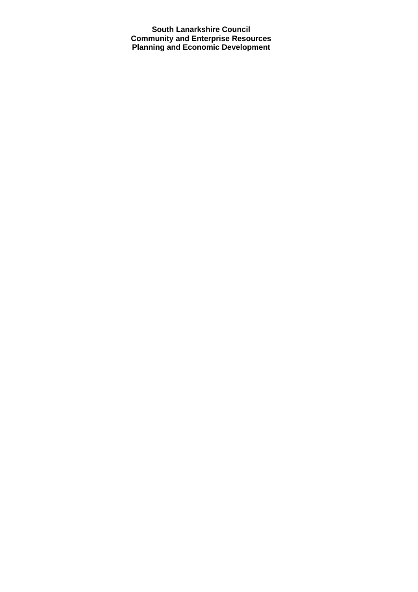**South Lanarkshire Council Community and Enterprise Resources Planning and Economic Development**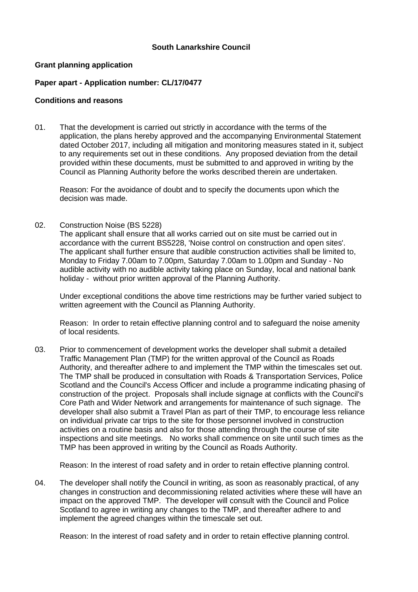## **South Lanarkshire Council**

#### **Grant planning application**

#### **Paper apart - Application number: CL/17/0477**

#### **Conditions and reasons**

01. That the development is carried out strictly in accordance with the terms of the application, the plans hereby approved and the accompanying Environmental Statement dated October 2017, including all mitigation and monitoring measures stated in it, subject to any requirements set out in these conditions. Any proposed deviation from the detail provided within these documents, must be submitted to and approved in writing by the Council as Planning Authority before the works described therein are undertaken.

Reason: For the avoidance of doubt and to specify the documents upon which the decision was made.

02. Construction Noise (BS 5228)

The applicant shall ensure that all works carried out on site must be carried out in accordance with the current BS5228, 'Noise control on construction and open sites'. The applicant shall further ensure that audible construction activities shall be limited to, Monday to Friday 7.00am to 7.00pm, Saturday 7.00am to 1.00pm and Sunday - No audible activity with no audible activity taking place on Sunday, local and national bank holiday - without prior written approval of the Planning Authority.

Under exceptional conditions the above time restrictions may be further varied subject to written agreement with the Council as Planning Authority.

Reason: In order to retain effective planning control and to safeguard the noise amenity of local residents.

03. Prior to commencement of development works the developer shall submit a detailed Traffic Management Plan (TMP) for the written approval of the Council as Roads Authority, and thereafter adhere to and implement the TMP within the timescales set out. The TMP shall be produced in consultation with Roads & Transportation Services, Police Scotland and the Council's Access Officer and include a programme indicating phasing of construction of the project. Proposals shall include signage at conflicts with the Council's Core Path and Wider Network and arrangements for maintenance of such signage. The developer shall also submit a Travel Plan as part of their TMP, to encourage less reliance on individual private car trips to the site for those personnel involved in construction activities on a routine basis and also for those attending through the course of site inspections and site meetings. No works shall commence on site until such times as the TMP has been approved in writing by the Council as Roads Authority.

Reason: In the interest of road safety and in order to retain effective planning control.

04. The developer shall notify the Council in writing, as soon as reasonably practical, of any changes in construction and decommissioning related activities where these will have an impact on the approved TMP. The developer will consult with the Council and Police Scotland to agree in writing any changes to the TMP, and thereafter adhere to and implement the agreed changes within the timescale set out.

Reason: In the interest of road safety and in order to retain effective planning control.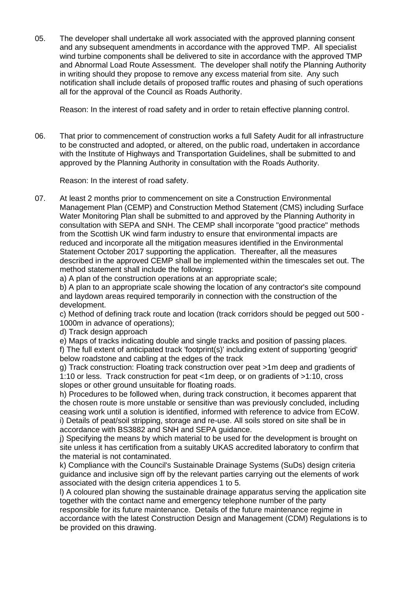05. The developer shall undertake all work associated with the approved planning consent and any subsequent amendments in accordance with the approved TMP. All specialist wind turbine components shall be delivered to site in accordance with the approved TMP and Abnormal Load Route Assessment. The developer shall notify the Planning Authority in writing should they propose to remove any excess material from site. Any such notification shall include details of proposed traffic routes and phasing of such operations all for the approval of the Council as Roads Authority.

Reason: In the interest of road safety and in order to retain effective planning control.

06. That prior to commencement of construction works a full Safety Audit for all infrastructure to be constructed and adopted, or altered, on the public road, undertaken in accordance with the Institute of Highways and Transportation Guidelines, shall be submitted to and approved by the Planning Authority in consultation with the Roads Authority.

Reason: In the interest of road safety.

07. At least 2 months prior to commencement on site a Construction Environmental Management Plan (CEMP) and Construction Method Statement (CMS) including Surface Water Monitoring Plan shall be submitted to and approved by the Planning Authority in consultation with SEPA and SNH. The CEMP shall incorporate "good practice" methods from the Scottish UK wind farm industry to ensure that environmental impacts are reduced and incorporate all the mitigation measures identified in the Environmental Statement October 2017 supporting the application. Thereafter, all the measures described in the approved CEMP shall be implemented within the timescales set out. The method statement shall include the following:

a) A plan of the construction operations at an appropriate scale;

b) A plan to an appropriate scale showing the location of any contractor's site compound and laydown areas required temporarily in connection with the construction of the development.

c) Method of defining track route and location (track corridors should be pegged out 500 - 1000m in advance of operations);

d) Track design approach

be provided on this drawing.

e) Maps of tracks indicating double and single tracks and position of passing places.

f) The full extent of anticipated track 'footprint(s)' including extent of supporting 'geogrid' below roadstone and cabling at the edges of the track

g) Track construction: Floating track construction over peat >1m deep and gradients of 1:10 or less. Track construction for peat <1m deep, or on gradients of >1:10, cross slopes or other ground unsuitable for floating roads.

h) Procedures to be followed when, during track construction, it becomes apparent that the chosen route is more unstable or sensitive than was previously concluded, including ceasing work until a solution is identified, informed with reference to advice from ECoW. i) Details of peat/soil stripping, storage and re-use. All soils stored on site shall be in accordance with BS3882 and SNH and SEPA guidance.

j) Specifying the means by which material to be used for the development is brought on site unless it has certification from a suitably UKAS accredited laboratory to confirm that the material is not contaminated.

k) Compliance with the Council's Sustainable Drainage Systems (SuDs) design criteria guidance and inclusive sign off by the relevant parties carrying out the elements of work associated with the design criteria appendices 1 to 5.

l) A coloured plan showing the sustainable drainage apparatus serving the application site together with the contact name and emergency telephone number of the party responsible for its future maintenance. Details of the future maintenance regime in accordance with the latest Construction Design and Management (CDM) Regulations is to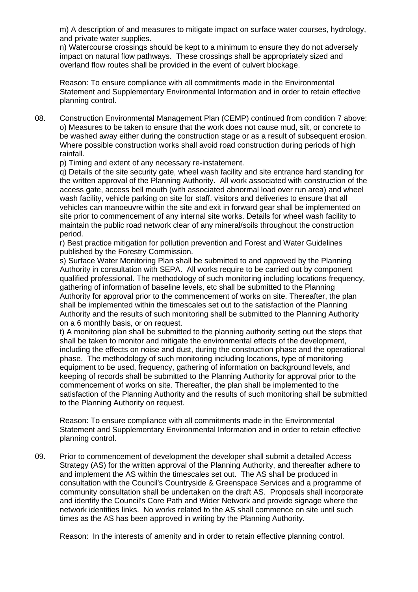m) A description of and measures to mitigate impact on surface water courses, hydrology, and private water supplies.

n) Watercourse crossings should be kept to a minimum to ensure they do not adversely impact on natural flow pathways. These crossings shall be appropriately sized and overland flow routes shall be provided in the event of culvert blockage.

Reason: To ensure compliance with all commitments made in the Environmental Statement and Supplementary Environmental Information and in order to retain effective planning control.

08. Construction Environmental Management Plan (CEMP) continued from condition 7 above: o) Measures to be taken to ensure that the work does not cause mud, silt, or concrete to be washed away either during the construction stage or as a result of subsequent erosion. Where possible construction works shall avoid road construction during periods of high rainfall.

p) Timing and extent of any necessary re-instatement.

q) Details of the site security gate, wheel wash facility and site entrance hard standing for the written approval of the Planning Authority. All work associated with construction of the access gate, access bell mouth (with associated abnormal load over run area) and wheel wash facility, vehicle parking on site for staff, visitors and deliveries to ensure that all vehicles can manoeuvre within the site and exit in forward gear shall be implemented on site prior to commencement of any internal site works. Details for wheel wash facility to maintain the public road network clear of any mineral/soils throughout the construction period.

r) Best practice mitigation for pollution prevention and Forest and Water Guidelines published by the Forestry Commission.

s) Surface Water Monitoring Plan shall be submitted to and approved by the Planning Authority in consultation with SEPA. All works require to be carried out by component qualified professional. The methodology of such monitoring including locations frequency, gathering of information of baseline levels, etc shall be submitted to the Planning Authority for approval prior to the commencement of works on site. Thereafter, the plan shall be implemented within the timescales set out to the satisfaction of the Planning Authority and the results of such monitoring shall be submitted to the Planning Authority on a 6 monthly basis, or on request.

t) A monitoring plan shall be submitted to the planning authority setting out the steps that shall be taken to monitor and mitigate the environmental effects of the development, including the effects on noise and dust, during the construction phase and the operational phase. The methodology of such monitoring including locations, type of monitoring equipment to be used, frequency, gathering of information on background levels, and keeping of records shall be submitted to the Planning Authority for approval prior to the commencement of works on site. Thereafter, the plan shall be implemented to the satisfaction of the Planning Authority and the results of such monitoring shall be submitted to the Planning Authority on request.

Reason: To ensure compliance with all commitments made in the Environmental Statement and Supplementary Environmental Information and in order to retain effective planning control.

09. Prior to commencement of development the developer shall submit a detailed Access Strategy (AS) for the written approval of the Planning Authority, and thereafter adhere to and implement the AS within the timescales set out. The AS shall be produced in consultation with the Council's Countryside & Greenspace Services and a programme of community consultation shall be undertaken on the draft AS. Proposals shall incorporate and identify the Council's Core Path and Wider Network and provide signage where the network identifies links. No works related to the AS shall commence on site until such times as the AS has been approved in writing by the Planning Authority.

Reason: In the interests of amenity and in order to retain effective planning control.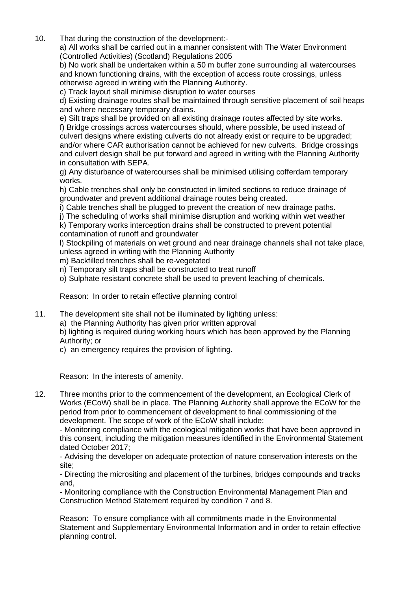10. That during the construction of the development:-

a) All works shall be carried out in a manner consistent with The Water Environment (Controlled Activities) (Scotland) Regulations 2005

b) No work shall be undertaken within a 50 m buffer zone surrounding all watercourses and known functioning drains, with the exception of access route crossings, unless otherwise agreed in writing with the Planning Authority.

c) Track layout shall minimise disruption to water courses

d) Existing drainage routes shall be maintained through sensitive placement of soil heaps and where necessary temporary drains.

e) Silt traps shall be provided on all existing drainage routes affected by site works. f) Bridge crossings across watercourses should, where possible, be used instead of culvert designs where existing culverts do not already exist or require to be upgraded; and/or where CAR authorisation cannot be achieved for new culverts. Bridge crossings and culvert design shall be put forward and agreed in writing with the Planning Authority in consultation with SEPA.

g) Any disturbance of watercourses shall be minimised utilising cofferdam temporary works.

h) Cable trenches shall only be constructed in limited sections to reduce drainage of groundwater and prevent additional drainage routes being created.

i) Cable trenches shall be plugged to prevent the creation of new drainage paths.

j) The scheduling of works shall minimise disruption and working within wet weather

k) Temporary works interception drains shall be constructed to prevent potential contamination of runoff and groundwater

l) Stockpiling of materials on wet ground and near drainage channels shall not take place, unless agreed in writing with the Planning Authority

- m) Backfilled trenches shall be re-vegetated
- n) Temporary silt traps shall be constructed to treat runoff

o) Sulphate resistant concrete shall be used to prevent leaching of chemicals.

Reason: In order to retain effective planning control

- 11. The development site shall not be illuminated by lighting unless:
	- a) the Planning Authority has given prior written approval

b) lighting is required during working hours which has been approved by the Planning Authority; or

c) an emergency requires the provision of lighting.

Reason: In the interests of amenity.

12. Three months prior to the commencement of the development, an Ecological Clerk of Works (ECoW) shall be in place. The Planning Authority shall approve the ECoW for the period from prior to commencement of development to final commissioning of the development. The scope of work of the ECoW shall include:

- Monitoring compliance with the ecological mitigation works that have been approved in this consent, including the mitigation measures identified in the Environmental Statement dated October 2017;

- Advising the developer on adequate protection of nature conservation interests on the site;

- Directing the micrositing and placement of the turbines, bridges compounds and tracks and,

- Monitoring compliance with the Construction Environmental Management Plan and Construction Method Statement required by condition 7 and 8.

Reason: To ensure compliance with all commitments made in the Environmental Statement and Supplementary Environmental Information and in order to retain effective planning control.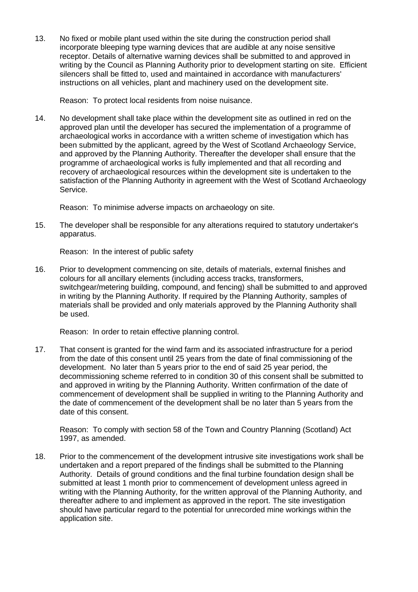13. No fixed or mobile plant used within the site during the construction period shall incorporate bleeping type warning devices that are audible at any noise sensitive receptor. Details of alternative warning devices shall be submitted to and approved in writing by the Council as Planning Authority prior to development starting on site. Efficient silencers shall be fitted to, used and maintained in accordance with manufacturers' instructions on all vehicles, plant and machinery used on the development site.

Reason: To protect local residents from noise nuisance.

14. No development shall take place within the development site as outlined in red on the approved plan until the developer has secured the implementation of a programme of archaeological works in accordance with a written scheme of investigation which has been submitted by the applicant, agreed by the West of Scotland Archaeology Service, and approved by the Planning Authority. Thereafter the developer shall ensure that the programme of archaeological works is fully implemented and that all recording and recovery of archaeological resources within the development site is undertaken to the satisfaction of the Planning Authority in agreement with the West of Scotland Archaeology Service.

Reason: To minimise adverse impacts on archaeology on site.

15. The developer shall be responsible for any alterations required to statutory undertaker's apparatus.

Reason: In the interest of public safety

16. Prior to development commencing on site, details of materials, external finishes and colours for all ancillary elements (including access tracks, transformers, switchgear/metering building, compound, and fencing) shall be submitted to and approved in writing by the Planning Authority. If required by the Planning Authority, samples of materials shall be provided and only materials approved by the Planning Authority shall be used.

Reason: In order to retain effective planning control.

17. That consent is granted for the wind farm and its associated infrastructure for a period from the date of this consent until 25 years from the date of final commissioning of the development. No later than 5 years prior to the end of said 25 year period, the decommissioning scheme referred to in condition 30 of this consent shall be submitted to and approved in writing by the Planning Authority. Written confirmation of the date of commencement of development shall be supplied in writing to the Planning Authority and the date of commencement of the development shall be no later than 5 years from the date of this consent.

Reason: To comply with section 58 of the Town and Country Planning (Scotland) Act 1997, as amended.

18. Prior to the commencement of the development intrusive site investigations work shall be undertaken and a report prepared of the findings shall be submitted to the Planning Authority. Details of ground conditions and the final turbine foundation design shall be submitted at least 1 month prior to commencement of development unless agreed in writing with the Planning Authority, for the written approval of the Planning Authority, and thereafter adhere to and implement as approved in the report. The site investigation should have particular regard to the potential for unrecorded mine workings within the application site.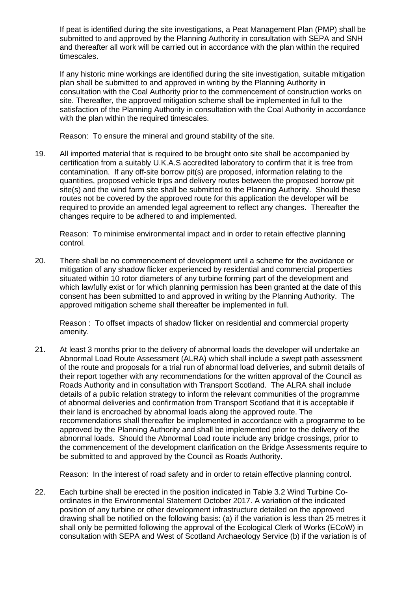If peat is identified during the site investigations, a Peat Management Plan (PMP) shall be submitted to and approved by the Planning Authority in consultation with SEPA and SNH and thereafter all work will be carried out in accordance with the plan within the required timescales.

If any historic mine workings are identified during the site investigation, suitable mitigation plan shall be submitted to and approved in writing by the Planning Authority in consultation with the Coal Authority prior to the commencement of construction works on site. Thereafter, the approved mitigation scheme shall be implemented in full to the satisfaction of the Planning Authority in consultation with the Coal Authority in accordance with the plan within the required timescales.

Reason: To ensure the mineral and ground stability of the site.

19. All imported material that is required to be brought onto site shall be accompanied by certification from a suitably U.K.A.S accredited laboratory to confirm that it is free from contamination. If any off-site borrow pit(s) are proposed, information relating to the quantities, proposed vehicle trips and delivery routes between the proposed borrow pit site(s) and the wind farm site shall be submitted to the Planning Authority. Should these routes not be covered by the approved route for this application the developer will be required to provide an amended legal agreement to reflect any changes. Thereafter the changes require to be adhered to and implemented.

Reason: To minimise environmental impact and in order to retain effective planning control.

20. There shall be no commencement of development until a scheme for the avoidance or mitigation of any shadow flicker experienced by residential and commercial properties situated within 10 rotor diameters of any turbine forming part of the development and which lawfully exist or for which planning permission has been granted at the date of this consent has been submitted to and approved in writing by the Planning Authority. The approved mitigation scheme shall thereafter be implemented in full.

Reason : To offset impacts of shadow flicker on residential and commercial property amenity.

21. At least 3 months prior to the delivery of abnormal loads the developer will undertake an Abnormal Load Route Assessment (ALRA) which shall include a swept path assessment of the route and proposals for a trial run of abnormal load deliveries, and submit details of their report together with any recommendations for the written approval of the Council as Roads Authority and in consultation with Transport Scotland. The ALRA shall include details of a public relation strategy to inform the relevant communities of the programme of abnormal deliveries and confirmation from Transport Scotland that it is acceptable if their land is encroached by abnormal loads along the approved route. The recommendations shall thereafter be implemented in accordance with a programme to be approved by the Planning Authority and shall be implemented prior to the delivery of the abnormal loads. Should the Abnormal Load route include any bridge crossings, prior to the commencement of the development clarification on the Bridge Assessments require to be submitted to and approved by the Council as Roads Authority.

Reason: In the interest of road safety and in order to retain effective planning control.

22. Each turbine shall be erected in the position indicated in Table 3.2 Wind Turbine Coordinates in the Environmental Statement October 2017. A variation of the indicated position of any turbine or other development infrastructure detailed on the approved drawing shall be notified on the following basis: (a) if the variation is less than 25 metres it shall only be permitted following the approval of the Ecological Clerk of Works (ECoW) in consultation with SEPA and West of Scotland Archaeology Service (b) if the variation is of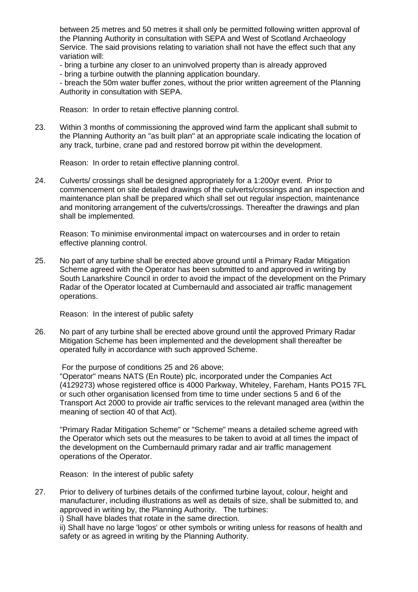between 25 metres and 50 metres it shall only be permitted following written approval of the Planning Authority in consultation with SEPA and West of Scotland Archaeology Service. The said provisions relating to variation shall not have the effect such that any variation will:

- bring a turbine any closer to an uninvolved property than is already approved
- bring a turbine outwith the planning application boundary.

- breach the 50m water buffer zones, without the prior written agreement of the Planning Authority in consultation with SEPA.

Reason: In order to retain effective planning control.

23. Within 3 months of commissioning the approved wind farm the applicant shall submit to the Planning Authority an "as built plan" at an appropriate scale indicating the location of any track, turbine, crane pad and restored borrow pit within the development.

Reason: In order to retain effective planning control.

24. Culverts/ crossings shall be designed appropriately for a 1:200yr event. Prior to commencement on site detailed drawings of the culverts/crossings and an inspection and maintenance plan shall be prepared which shall set out regular inspection, maintenance and monitoring arrangement of the culverts/crossings. Thereafter the drawings and plan shall be implemented.

Reason: To minimise environmental impact on watercourses and in order to retain effective planning control.

25. No part of any turbine shall be erected above ground until a Primary Radar Mitigation Scheme agreed with the Operator has been submitted to and approved in writing by South Lanarkshire Council in order to avoid the impact of the development on the Primary Radar of the Operator located at Cumbernauld and associated air traffic management operations.

Reason: In the interest of public safety

26. No part of any turbine shall be erected above ground until the approved Primary Radar Mitigation Scheme has been implemented and the development shall thereafter be operated fully in accordance with such approved Scheme.

For the purpose of conditions 25 and 26 above;

"Operator" means NATS (En Route) plc, incorporated under the Companies Act (4129273) whose registered office is 4000 Parkway, Whiteley, Fareham, Hants PO15 7FL or such other organisation licensed from time to time under sections 5 and 6 of the Transport Act 2000 to provide air traffic services to the relevant managed area (within the meaning of section 40 of that Act).

"Primary Radar Mitigation Scheme" or "Scheme" means a detailed scheme agreed with the Operator which sets out the measures to be taken to avoid at all times the impact of the development on the Cumbernauld primary radar and air traffic management operations of the Operator.

Reason: In the interest of public safety

27. Prior to delivery of turbines details of the confirmed turbine layout, colour, height and manufacturer, including illustrations as well as details of size, shall be submitted to, and approved in writing by, the Planning Authority. The turbines:

i) Shall have blades that rotate in the same direction.

ii) Shall have no large 'logos' or other symbols or writing unless for reasons of health and safety or as agreed in writing by the Planning Authority.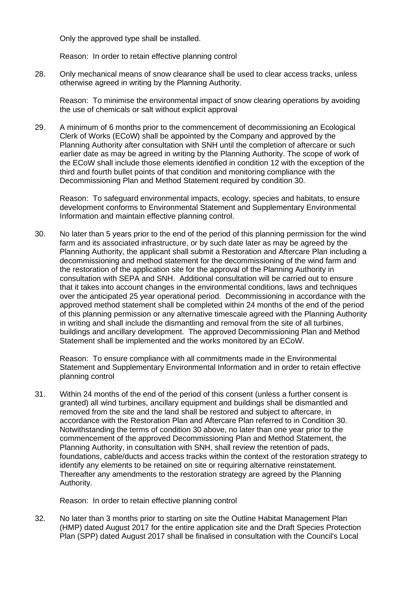Only the approved type shall be installed.

Reason: In order to retain effective planning control

28. Only mechanical means of snow clearance shall be used to clear access tracks, unless otherwise agreed in writing by the Planning Authority.

Reason: To minimise the environmental impact of snow clearing operations by avoiding the use of chemicals or salt without explicit approval

29. A minimum of 6 months prior to the commencement of decommissioning an Ecological Clerk of Works (ECoW) shall be appointed by the Company and approved by the Planning Authority after consultation with SNH until the completion of aftercare or such earlier date as may be agreed in writing by the Planning Authority. The scope of work of the ECoW shall include those elements identified in condition 12 with the exception of the third and fourth bullet points of that condition and monitoring compliance with the Decommissioning Plan and Method Statement required by condition 30.

Reason: To safeguard environmental impacts, ecology, species and habitats, to ensure development conforms to Environmental Statement and Supplementary Environmental Information and maintain effective planning control.

30. No later than 5 years prior to the end of the period of this planning permission for the wind farm and its associated infrastructure, or by such date later as may be agreed by the Planning Authority, the applicant shall submit a Restoration and Aftercare Plan including a decommissioning and method statement for the decommissioning of the wind farm and the restoration of the application site for the approval of the Planning Authority in consultation with SEPA and SNH. Additional consultation will be carried out to ensure that it takes into account changes in the environmental conditions, laws and techniques over the anticipated 25 year operational period. Decommissioning in accordance with the approved method statement shall be completed within 24 months of the end of the period of this planning permission or any alternative timescale agreed with the Planning Authority in writing and shall include the dismantling and removal from the site of all turbines, buildings and ancillary development. The approved Decommissioning Plan and Method Statement shall be implemented and the works monitored by an ECoW.

Reason: To ensure compliance with all commitments made in the Environmental Statement and Supplementary Environmental Information and in order to retain effective planning control

31. Within 24 months of the end of the period of this consent (unless a further consent is granted) all wind turbines, ancillary equipment and buildings shall be dismantled and removed from the site and the land shall be restored and subject to aftercare, in accordance with the Restoration Plan and Aftercare Plan referred to in Condition 30. Notwithstanding the terms of condition 30 above, no later than one year prior to the commencement of the approved Decommissioning Plan and Method Statement, the Planning Authority, in consultation with SNH, shall review the retention of pads, foundations, cable/ducts and access tracks within the context of the restoration strategy to identify any elements to be retained on site or requiring alternative reinstatement. Thereafter any amendments to the restoration strategy are agreed by the Planning Authority.

Reason: In order to retain effective planning control

32. No later than 3 months prior to starting on site the Outline Habitat Management Plan (HMP) dated August 2017 for the entire application site and the Draft Species Protection Plan (SPP) dated August 2017 shall be finalised in consultation with the Council's Local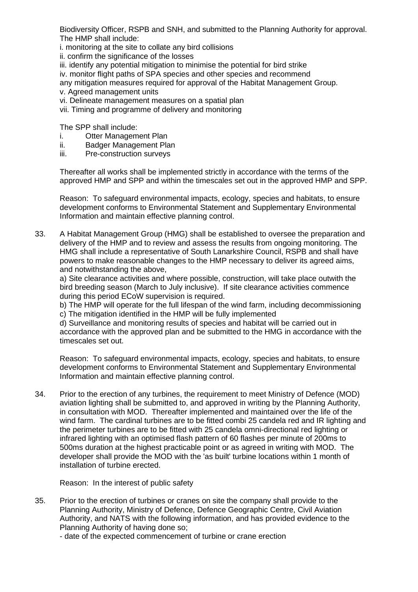Biodiversity Officer, RSPB and SNH, and submitted to the Planning Authority for approval. The HMP shall include:

i. monitoring at the site to collate any bird collisions

ii. confirm the significance of the losses

iii. identify any potential mitigation to minimise the potential for bird strike

iv. monitor flight paths of SPA species and other species and recommend

any mitigation measures required for approval of the Habitat Management Group.

v. Agreed management units

vi. Delineate management measures on a spatial plan

vii. Timing and programme of delivery and monitoring

The SPP shall include:

- i. Otter Management Plan<br>ii. Badger Management Pla
- Badger Management Plan
- iii. Pre-construction surveys

Thereafter all works shall be implemented strictly in accordance with the terms of the approved HMP and SPP and within the timescales set out in the approved HMP and SPP.

Reason: To safeguard environmental impacts, ecology, species and habitats, to ensure development conforms to Environmental Statement and Supplementary Environmental Information and maintain effective planning control.

33. A Habitat Management Group (HMG) shall be established to oversee the preparation and delivery of the HMP and to review and assess the results from ongoing monitoring. The HMG shall include a representative of South Lanarkshire Council, RSPB and shall have powers to make reasonable changes to the HMP necessary to deliver its agreed aims, and notwithstanding the above,

a) Site clearance activities and where possible, construction, will take place outwith the bird breeding season (March to July inclusive). If site clearance activities commence during this period ECoW supervision is required.

b) The HMP will operate for the full lifespan of the wind farm, including decommissioning c) The mitigation identified in the HMP will be fully implemented

d) Surveillance and monitoring results of species and habitat will be carried out in accordance with the approved plan and be submitted to the HMG in accordance with the timescales set out.

Reason: To safeguard environmental impacts, ecology, species and habitats, to ensure development conforms to Environmental Statement and Supplementary Environmental Information and maintain effective planning control.

34. Prior to the erection of any turbines, the requirement to meet Ministry of Defence (MOD) aviation lighting shall be submitted to, and approved in writing by the Planning Authority, in consultation with MOD. Thereafter implemented and maintained over the life of the wind farm. The cardinal turbines are to be fitted combi 25 candela red and IR lighting and the perimeter turbines are to be fitted with 25 candela omni-directional red lighting or infrared lighting with an optimised flash pattern of 60 flashes per minute of 200ms to 500ms duration at the highest practicable point or as agreed in writing with MOD. The developer shall provide the MOD with the 'as built' turbine locations within 1 month of installation of turbine erected.

Reason: In the interest of public safety

35. Prior to the erection of turbines or cranes on site the company shall provide to the Planning Authority, Ministry of Defence, Defence Geographic Centre, Civil Aviation Authority, and NATS with the following information, and has provided evidence to the Planning Authority of having done so;

- date of the expected commencement of turbine or crane erection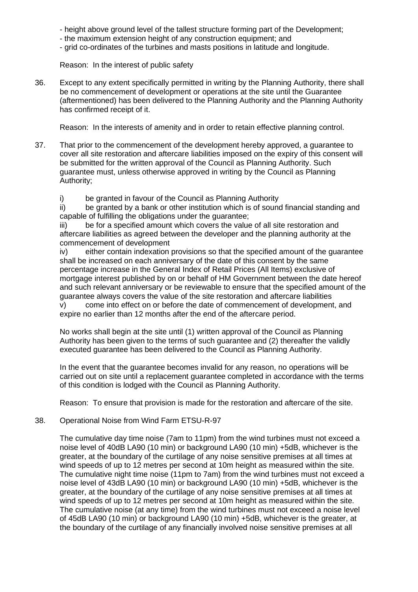- height above ground level of the tallest structure forming part of the Development;
- the maximum extension height of any construction equipment; and
- grid co-ordinates of the turbines and masts positions in latitude and longitude.

Reason: In the interest of public safety

36. Except to any extent specifically permitted in writing by the Planning Authority, there shall be no commencement of development or operations at the site until the Guarantee (aftermentioned) has been delivered to the Planning Authority and the Planning Authority has confirmed receipt of it.

Reason: In the interests of amenity and in order to retain effective planning control.

- 37. That prior to the commencement of the development hereby approved, a guarantee to cover all site restoration and aftercare liabilities imposed on the expiry of this consent will be submitted for the written approval of the Council as Planning Authority. Such guarantee must, unless otherwise approved in writing by the Council as Planning Authority;
	- i) be granted in favour of the Council as Planning Authority

ii) be granted by a bank or other institution which is of sound financial standing and capable of fulfilling the obligations under the guarantee;

iii) be for a specified amount which covers the value of all site restoration and aftercare liabilities as agreed between the developer and the planning authority at the commencement of development

iv) either contain indexation provisions so that the specified amount of the guarantee shall be increased on each anniversary of the date of this consent by the same percentage increase in the General Index of Retail Prices (All Items) exclusive of mortgage interest published by on or behalf of HM Government between the date hereof and such relevant anniversary or be reviewable to ensure that the specified amount of the guarantee always covers the value of the site restoration and aftercare liabilities

v) come into effect on or before the date of commencement of development, and expire no earlier than 12 months after the end of the aftercare period.

No works shall begin at the site until (1) written approval of the Council as Planning Authority has been given to the terms of such guarantee and (2) thereafter the validly executed guarantee has been delivered to the Council as Planning Authority.

In the event that the guarantee becomes invalid for any reason, no operations will be carried out on site until a replacement guarantee completed in accordance with the terms of this condition is lodged with the Council as Planning Authority.

Reason: To ensure that provision is made for the restoration and aftercare of the site.

## 38. Operational Noise from Wind Farm ETSU-R-97

The cumulative day time noise (7am to 11pm) from the wind turbines must not exceed a noise level of 40dB LA90 (10 min) or background LA90 (10 min) +5dB, whichever is the greater, at the boundary of the curtilage of any noise sensitive premises at all times at wind speeds of up to 12 metres per second at 10m height as measured within the site. The cumulative night time noise (11pm to 7am) from the wind turbines must not exceed a noise level of 43dB LA90 (10 min) or background LA90 (10 min) +5dB, whichever is the greater, at the boundary of the curtilage of any noise sensitive premises at all times at wind speeds of up to 12 metres per second at 10m height as measured within the site. The cumulative noise (at any time) from the wind turbines must not exceed a noise level of 45dB LA90 (10 min) or background LA90 (10 min) +5dB, whichever is the greater, at the boundary of the curtilage of any financially involved noise sensitive premises at all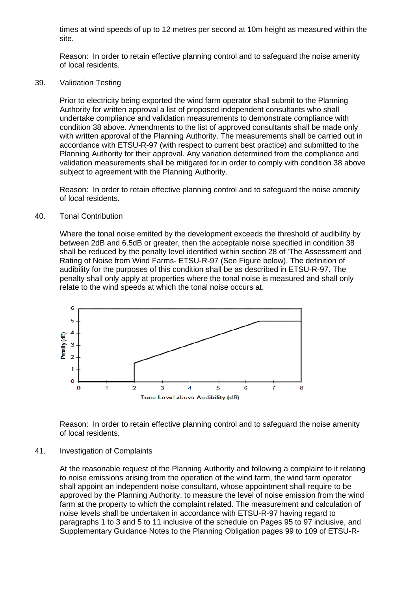times at wind speeds of up to 12 metres per second at 10m height as measured within the site.

Reason: In order to retain effective planning control and to safeguard the noise amenity of local residents.

39. Validation Testing

Prior to electricity being exported the wind farm operator shall submit to the Planning Authority for written approval a list of proposed independent consultants who shall undertake compliance and validation measurements to demonstrate compliance with condition 38 above. Amendments to the list of approved consultants shall be made only with written approval of the Planning Authority. The measurements shall be carried out in accordance with ETSU-R-97 (with respect to current best practice) and submitted to the Planning Authority for their approval. Any variation determined from the compliance and validation measurements shall be mitigated for in order to comply with condition 38 above subject to agreement with the Planning Authority.

Reason: In order to retain effective planning control and to safeguard the noise amenity of local residents.

#### 40. Tonal Contribution

Where the tonal noise emitted by the development exceeds the threshold of audibility by between 2dB and 6.5dB or greater, then the acceptable noise specified in condition 38 shall be reduced by the penalty level identified within section 28 of 'The Assessment and Rating of Noise from Wind Farms- ETSU-R-97 (See Figure below). The definition of audibility for the purposes of this condition shall be as described in ETSU-R-97. The penalty shall only apply at properties where the tonal noise is measured and shall only relate to the wind speeds at which the tonal noise occurs at.



Reason: In order to retain effective planning control and to safeguard the noise amenity of local residents.

#### 41. Investigation of Complaints

At the reasonable request of the Planning Authority and following a complaint to it relating to noise emissions arising from the operation of the wind farm, the wind farm operator shall appoint an independent noise consultant, whose appointment shall require to be approved by the Planning Authority, to measure the level of noise emission from the wind farm at the property to which the complaint related. The measurement and calculation of noise levels shall be undertaken in accordance with ETSU-R-97 having regard to paragraphs 1 to 3 and 5 to 11 inclusive of the schedule on Pages 95 to 97 inclusive, and Supplementary Guidance Notes to the Planning Obligation pages 99 to 109 of ETSU-R-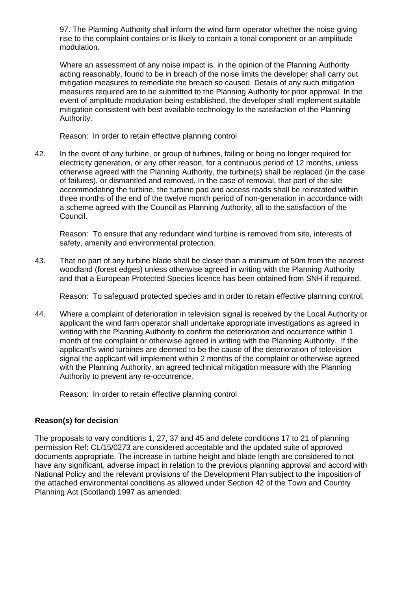97. The Planning Authority shall inform the wind farm operator whether the noise giving rise to the complaint contains or is likely to contain a tonal component or an amplitude modulation.

Where an assessment of any noise impact is, in the opinion of the Planning Authority acting reasonably, found to be in breach of the noise limits the developer shall carry out mitigation measures to remediate the breach so caused. Details of any such mitigation measures required are to be submitted to the Planning Authority for prior approval. In the event of amplitude modulation being established, the developer shall implement suitable mitigation consistent with best available technology to the satisfaction of the Planning Authority.

Reason: In order to retain effective planning control

42. In the event of any turbine, or group of turbines, failing or being no longer required for electricity generation, or any other reason, for a continuous period of 12 months, unless otherwise agreed with the Planning Authority, the turbine(s) shall be replaced (in the case of failures), or dismantled and removed. In the case of removal, that part of the site accommodating the turbine, the turbine pad and access roads shall be reinstated within three months of the end of the twelve month period of non-generation in accordance with a scheme agreed with the Council as Planning Authority, all to the satisfaction of the Council.

Reason: To ensure that any redundant wind turbine is removed from site, interests of safety, amenity and environmental protection.

43. That no part of any turbine blade shall be closer than a minimum of 50m from the nearest woodland (forest edges) unless otherwise agreed in writing with the Planning Authority and that a European Protected Species licence has been obtained from SNH if required.

Reason: To safeguard protected species and in order to retain effective planning control.

44. Where a complaint of deterioration in television signal is received by the Local Authority or applicant the wind farm operator shall undertake appropriate investigations as agreed in writing with the Planning Authority to confirm the deterioration and occurrence within 1 month of the complaint or otherwise agreed in writing with the Planning Authority. If the applicant's wind turbines are deemed to be the cause of the deterioration of television signal the applicant will implement within 2 months of the complaint or otherwise agreed with the Planning Authority, an agreed technical mitigation measure with the Planning Authority to prevent any re-occurrence.

Reason: In order to retain effective planning control

## **Reason(s) for decision**

The proposals to vary conditions 1, 27, 37 and 45 and delete conditions 17 to 21 of planning permission Ref: CL/15/0273 are considered acceptable and the updated suite of approved documents appropriate. The increase in turbine height and blade length are considered to not have any significant, adverse impact in relation to the previous planning approval and accord with National Policy and the relevant provisions of the Development Plan subject to the imposition of the attached environmental conditions as allowed under Section 42 of the Town and Country Planning Act (Scotland) 1997 as amended.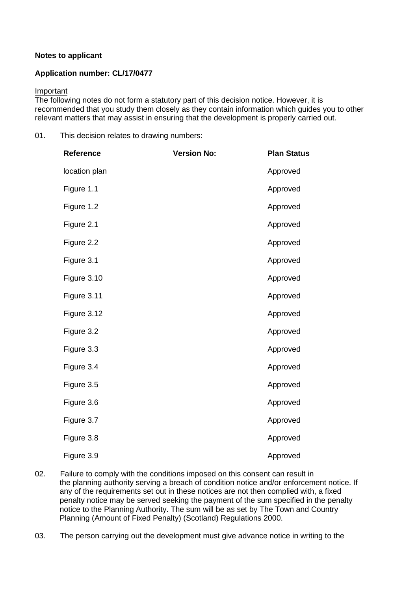## **Notes to applicant**

## **Application number: CL/17/0477**

#### Important

The following notes do not form a statutory part of this decision notice. However, it is recommended that you study them closely as they contain information which guides you to other relevant matters that may assist in ensuring that the development is properly carried out.

01. This decision relates to drawing numbers:

| Reference     | <b>Version No:</b> | <b>Plan Status</b> |
|---------------|--------------------|--------------------|
| location plan |                    | Approved           |
| Figure 1.1    |                    | Approved           |
| Figure 1.2    |                    | Approved           |
| Figure 2.1    |                    | Approved           |
| Figure 2.2    |                    | Approved           |
| Figure 3.1    |                    | Approved           |
| Figure 3.10   |                    | Approved           |
| Figure 3.11   |                    | Approved           |
| Figure 3.12   |                    | Approved           |
| Figure 3.2    |                    | Approved           |
| Figure 3.3    |                    | Approved           |
| Figure 3.4    |                    | Approved           |
| Figure 3.5    |                    | Approved           |
| Figure 3.6    |                    | Approved           |
| Figure 3.7    |                    | Approved           |
| Figure 3.8    |                    | Approved           |
| Figure 3.9    |                    | Approved           |

- 02. Failure to comply with the conditions imposed on this consent can result in the planning authority serving a breach of condition notice and/or enforcement notice. If any of the requirements set out in these notices are not then complied with, a fixed penalty notice may be served seeking the payment of the sum specified in the penalty notice to the Planning Authority. The sum will be as set by The Town and Country Planning (Amount of Fixed Penalty) (Scotland) Regulations 2000.
- 03. The person carrying out the development must give advance notice in writing to the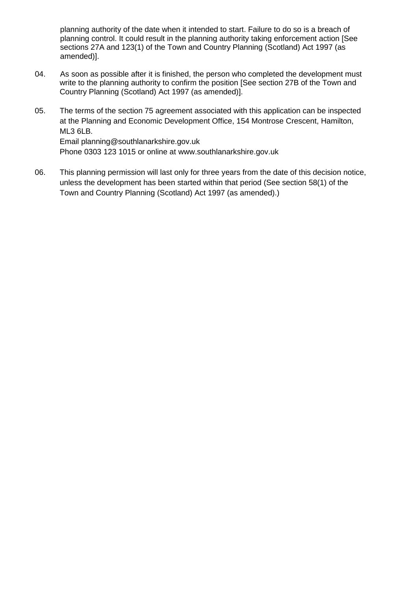planning authority of the date when it intended to start. Failure to do so is a breach of planning control. It could result in the planning authority taking enforcement action [See sections 27A and 123(1) of the Town and Country Planning (Scotland) Act 1997 (as amended)].

- 04. As soon as possible after it is finished, the person who completed the development must write to the planning authority to confirm the position [See section 27B of the Town and Country Planning (Scotland) Act 1997 (as amended)].
- 05. The terms of the section 75 agreement associated with this application can be inspected at the Planning and Economic Development Office, 154 Montrose Crescent, Hamilton, ML3 6LB. Email planning@southlanarkshire.gov.uk Phone 0303 123 1015 or online at www.southlanarkshire.gov.uk
- 06. This planning permission will last only for three years from the date of this decision notice, unless the development has been started within that period (See section 58(1) of the Town and Country Planning (Scotland) Act 1997 (as amended).)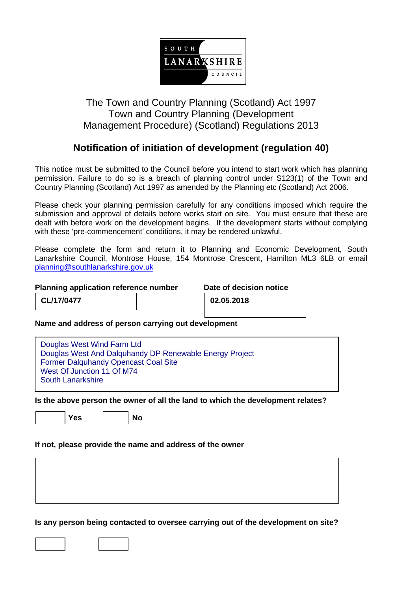

## The Town and Country Planning (Scotland) Act 1997 Town and Country Planning (Development Management Procedure) (Scotland) Regulations 2013

## **Notification of initiation of development (regulation 40)**

This notice must be submitted to the Council before you intend to start work which has planning permission. Failure to do so is a breach of planning control under S123(1) of the Town and Country Planning (Scotland) Act 1997 as amended by the Planning etc (Scotland) Act 2006.

Please check your planning permission carefully for any conditions imposed which require the submission and approval of details before works start on site. You must ensure that these are dealt with before work on the development begins. If the development starts without complying with these 'pre-commencement' conditions, it may be rendered unlawful.

Please complete the form and return it to Planning and Economic Development, South Lanarkshire Council, Montrose House, 154 Montrose Crescent, Hamilton ML3 6LB or email [planning@southlanarkshire.gov.uk](mailto:planning@southlanarkshire.gov.uk)

## **Planning application reference number Date of decision notice**

**CL/17/0477 02.05.2018**

**Name and address of person carrying out development**

**Is the above person the owner of all the land to which the development relates?**

Yes | No

**If not, please provide the name and address of the owner**

**Is any person being contacted to oversee carrying out of the development on site?**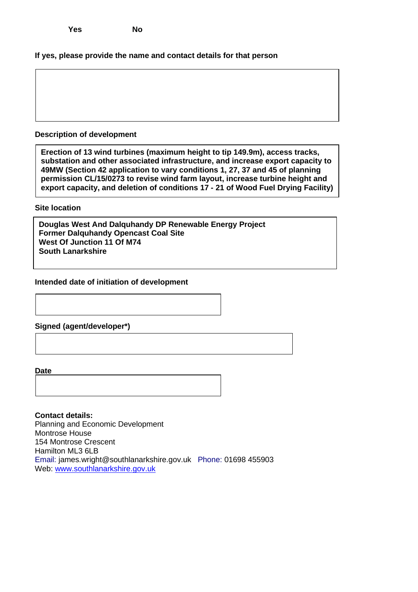## **If yes, please provide the name and contact details for that person**

## **Description of development**

**Erection of 13 wind turbines (maximum height to tip 149.9m), access tracks, substation and other associated infrastructure, and increase export capacity to 49MW (Section 42 application to vary conditions 1, 27, 37 and 45 of planning permission CL/15/0273 to revise wind farm layout, increase turbine height and export capacity, and deletion of conditions 17 - 21 of Wood Fuel Drying Facility)**

**Site location**

**Douglas West And Dalquhandy DP Renewable Energy Project Former Dalquhandy Opencast Coal Site West Of Junction 11 Of M74 South Lanarkshire**

#### **Intended date of initiation of development**

**Signed (agent/developer\*)**

**Date**

**Contact details:** Planning and Economic Development Montrose House 154 Montrose Crescent Hamilton ML3 6LB Email: james.wright@southlanarkshire.gov.uk Phone: 01698 455903 Web: [www.southlanarkshire.gov.uk](http://www.southlanarkshire.gov.uk/)